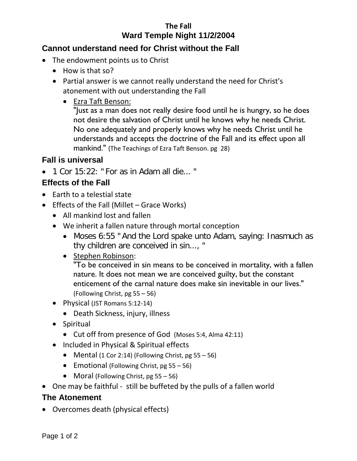# **The Fall Ward Temple Night 11/2/2004**

### **Cannot understand need for Christ without the Fall**

- The endowment points us to Christ
	- How is that so?
	- Partial answer is we cannot really understand the need for Christ's atonement with out understanding the Fall
		- Ezra Taft Benson:

"Just as a man does not really desire food until he is hungry, so he does not desire the salvation of Christ until he knows why he needs Christ. No one adequately and properly knows why he needs Christ until he understands and accepts the doctrine of the Fall and its effect upon all mankind." (The Teachings of Ezra Taft Benson. pg 28)

### **Fall is universal**

• 1 Cor 15:22: " For as in Adam all die... "

### **Effects of the Fall**

- Earth to a telestial state
- Effects of the Fall (Millet Grace Works)
	- All mankind lost and fallen
	- We inherit a fallen nature through mortal conception
		- Moses 6:55 " And the Lord spake unto Adam, saying: Inasmuch as thy children are conceived in sin..., "
		- Stephen Robinson:

"To be conceived in sin means to be conceived in mortality, with a fallen nature. It does not mean we are conceived guilty, but the constant enticement of the carnal nature does make sin inevitable in our lives." (Following Christ, pg 55 – 56)

- Physical (JST Romans 5:12-14)
	- Death Sickness, injury, illness
- Spiritual
	- Cut off from presence of God (Moses 5:4, Alma 42:11)
- Included in Physical & Spiritual effects
	- Mental (1 Cor 2:14) (Following Christ, pg  $55 56$ )
	- Emotional (Following Christ,  $pg 55 56$ )
	- Moral (Following Christ, pg 55 56)
- One may be faithful still be buffeted by the pulls of a fallen world

#### **The Atonement**

• Overcomes death (physical effects)